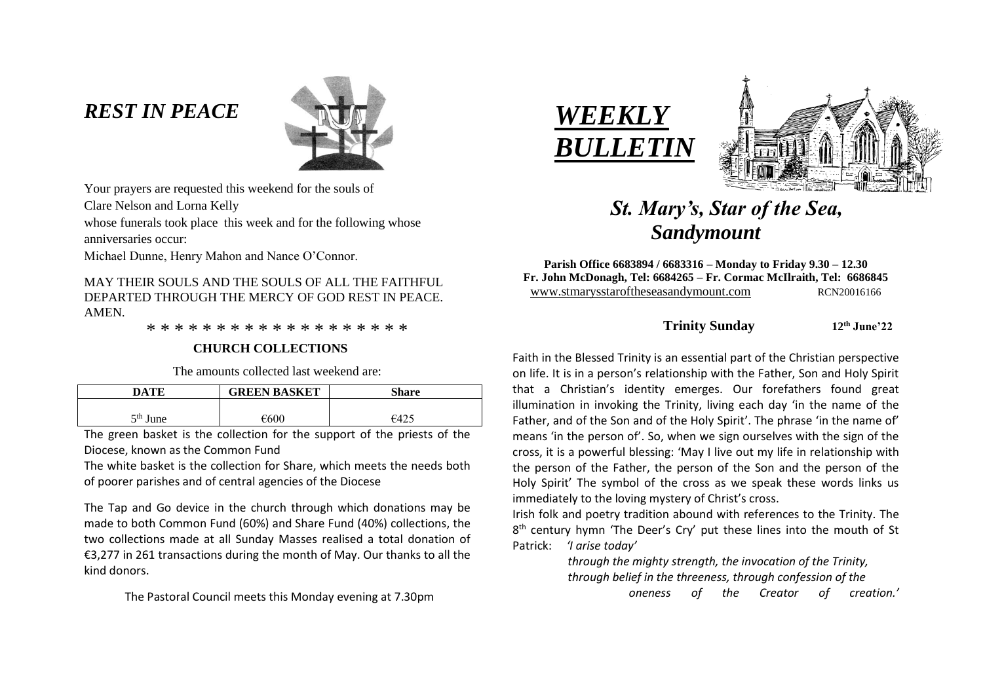# *REST IN PEACE*



Your prayers are requested this weekend for the souls of

Clare Nelson and Lorna Kelly

whose funerals took place this week and for the following whose anniversaries occur:

Michael Dunne, Henry Mahon and Nance O'Connor.

MAY THEIR SOULS AND THE SOULS OF ALL THE FAITHFUL DEPARTED THROUGH THE MERCY OF GOD REST IN PEACE. AMEN.

\* \* \* \* \* \* \* \* \* \* \* \* \* \* \* \* \* \* \*

#### **CHURCH COLLECTIONS**

The amounts collected last weekend are:

| DATE       | <b>GREEN BASKET</b> | Share  |
|------------|---------------------|--------|
| $5th$ June | €600                | $-642$ |
|            |                     |        |

The green basket is the collection for the support of the priests of the Diocese, known as the Common Fund

The white basket is the collection for Share, which meets the needs both of poorer parishes and of central agencies of the Diocese

The Tap and Go device in the church through which donations may be made to both Common Fund (60%) and Share Fund (40%) collections, the two collections made at all Sunday Masses realised a total donation of €3,277 in 261 transactions during the month of May. Our thanks to all the kind donors.

The Pastoral Council meets this Monday evening at 7.30pm





# *St. Mary's, Star of the Sea, Sandymount*

**Parish Office 6683894 / 6683316 – Monday to Friday 9.30 – 12.30 Fr. John McDonagh, Tel: 6684265 – Fr. Cormac McIlraith, Tel: 6686845** www.stmarysstaroftheseasandymount.com RCN20016166

### **Trinity Sunday 12th June'22**

Faith in the Blessed Trinity is an essential part of the Christian perspective on life. It is in a person's relationship with the Father, Son and Holy Spirit that a Christian's identity emerges. Our forefathers found great illumination in invoking the Trinity, living each day 'in the name of the Father, and of the Son and of the Holy Spirit'. The phrase 'in the name of' means 'in the person of'. So, when we sign ourselves with the sign of the cross, it is a powerful blessing: 'May I live out my life in relationship with the person of the Father, the person of the Son and the person of the Holy Spirit' The symbol of the cross as we speak these words links us immediately to the loving mystery of Christ's cross.

Irish folk and poetry tradition abound with references to the Trinity. The 8<sup>th</sup> century hymn 'The Deer's Cry' put these lines into the mouth of St Patrick: *'I arise today'*

> *through the mighty strength, the invocation of the Trinity, through belief in the threeness, through confession of the*

 *oneness of the Creator of creation.'*